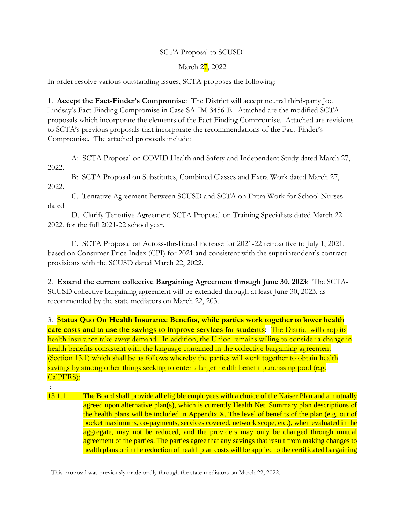## SCTA Proposal to SCUSD<sup>1</sup>

## March 27, 2022

In order resolve various outstanding issues, SCTA proposes the following:

1. **Accept the Fact-Finder's Compromise**: The District will accept neutral third-party Joe Lindsay's Fact-Finding Compromise in Case SA-IM-3456-E. Attached are the modified SCTA proposals which incorporate the elements of the Fact-Finding Compromise. Attached are revisions to SCTA's previous proposals that incorporate the recommendations of the Fact-Finder's Compromise. The attached proposals include:

A: SCTA Proposal on COVID Health and Safety and Independent Study dated March 27, 2022.

B: SCTA Proposal on Substitutes, Combined Classes and Extra Work dated March 27, 2022.

C. Tentative Agreement Between SCUSD and SCTA on Extra Work for School Nurses dated

D. Clarify Tentative Agreement SCTA Proposal on Training Specialists dated March 22 2022, for the full 2021-22 school year.

E. SCTA Proposal on Across-the-Board increase for 2021-22 retroactive to July 1, 2021, based on Consumer Price Index (CPI) for 2021 and consistent with the superintendent's contract provisions with the SCUSD dated March 22, 2022.

2. **Extend the current collective Bargaining Agreement through June 30, 2023**: The SCTA-SCUSD collective bargaining agreement will be extended through at least June 30, 2023, as recommended by the state mediators on March 22, 203.

3. **Status Quo On Health Insurance Benefits, while parties work together to lower health care costs and to use the savings to improve services for students:** The District will drop its health insurance take-away demand. In addition, the Union remains willing to consider a change in health benefits consistent with the language contained in the collective bargaining agreement (Section 13.1) which shall be as follows whereby the parties will work together to obtain health savings by among other things seeking to enter a larger health benefit purchasing pool (e.g. CalPERS):

- :
- 13.1.1 The Board shall provide all eligible employees with a choice of the Kaiser Plan and a mutually agreed upon alternative plan(s), which is currently Health Net. Summary plan descriptions of the health plans will be included in Appendix X. The level of benefits of the plan (e.g. out of pocket maximums, co-payments, services covered, network scope, etc.), when evaluated in the aggregate, may not be reduced, and the providers may only be changed through mutual agreement of the parties. The parties agree that any savings that result from making changes to health plans or in the reduction of health plan costs will be applied to the certificated bargaining

<sup>1</sup> This proposal was previously made orally through the state mediators on March 22, 2022.